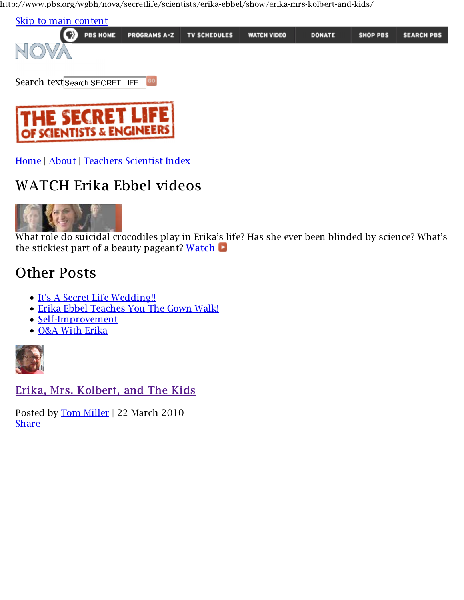http://www.pbs.org/wgbh/nova/secretlife/scientists/erika-ebbel/show/erika-mrs-kolbert-and-kids/





Home | About | Teachers Scientist Index

## WATCH Erika Ebbel videos



What role do suicidal crocodiles play in Erika's life? Has she ever been blinded by science? What's the stickiest part of a beauty pageant? Watch

## Other Posts

- It's A Secret Life Wedding!!
- Erika Ebbel Teaches You The Gown Walk!
- Self-Improvement
- O&A With Erika



Erika, Mrs. Kolbert, and The Kids

Posted by Tom Miller | 22 March 2010 **Share**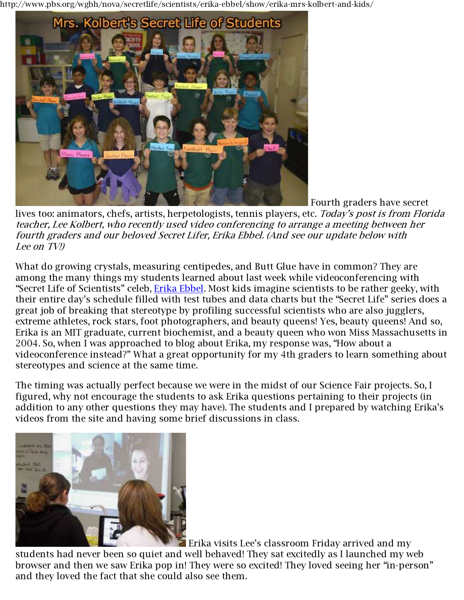http://www.pbs.org/wgbh/nova/secretlife/scientists/erika-ebbel/show/erika-mrs-kolbert-and-kids/



Fourth graders have secret

lives too: animators, chefs, artists, herpetologists, tennis players, etc. *Today's post is from Florida teacher, Lee Kolbert, who recently used video conferencing to arrange a meeting between her fourth graders and our beloved Secret Lifer, Erika Ebbel. (And see our update below with Lee on TV!)*

What do growing crystals, measuring centipedes, and Butt Glue have in common? They are among the many things my students learned about last week while videoconferencing with "Secret Life of Scientists" celeb, Erika Ebbel. Most kids imagine scientists to be rather geeky, with their entire day's schedule filled with test tubes and data charts but the "Secret Life" series does a great job of breaking that stereotype by profiling successful scientists who are also jugglers, extreme athletes, rock stars, foot photographers, and beauty queens! Yes, beauty queens! And so, Erika is an MIT graduate, current biochemist, and a beauty queen who won Miss Massachusetts in 2004. So, when I was approached to blog about Erika, my response was, "How about a videoconference instead?" What a great opportunity for my 4th graders to learn something about stereotypes and science at the same time.

The timing was actually perfect because we were in the midst of our Science Fair projects. So, I figured, why not encourage the students to ask Erika questions pertaining to their projects (in addition to any other questions they may have). The students and I prepared by watching Erika's videos from the site and having some brief discussions in class.



Erika visits Lee's classroom Friday arrived and my

students had never been so quiet and well behaved! They sat excitedly as I launched my web browser and then we saw Erika pop in! They were so excited! They loved seeing her "in-person" and they loved the fact that she could also see them.